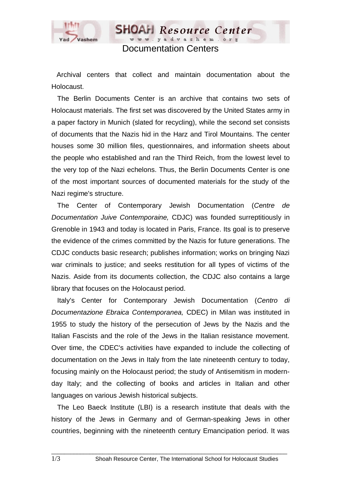

Documentation Centers

**SHOAH** Resource Center www.vadvashem.ore

Archival centers that collect and maintain documentation about the Holocaust.

 The Berlin Documents Center is an archive that contains two sets of Holocaust materials. The first set was discovered by the United States army in a paper factory in Munich (slated for recycling), while the second set consists of documents that the Nazis hid in the Harz and Tirol Mountains. The center houses some 30 million files, questionnaires, and information sheets about the people who established and ran the Third Reich, from the lowest level to the very top of the Nazi echelons. Thus, the Berlin Documents Center is one of the most important sources of documented materials for the study of the Nazi regime's structure.

 The Center of Contemporary Jewish Documentation (*Centre de Documentation Juive Contemporaine,* CDJC) was founded surreptitiously in Grenoble in 1943 and today is located in Paris, France. Its goal is to preserve the evidence of the crimes committed by the Nazis for future generations. The CDJC conducts basic research; publishes information; works on bringing Nazi war criminals to justice; and seeks restitution for all types of victims of the Nazis. Aside from its documents collection, the CDJC also contains a large library that focuses on the Holocaust period.

 Italy's Center for Contemporary Jewish Documentation (*Centro di Documentazione Ebraica Contemporanea,* CDEC) in Milan was instituted in 1955 to study the history of the persecution of Jews by the Nazis and the Italian Fascists and the role of the Jews in the Italian resistance movement. Over time, the CDEC's activities have expanded to include the collecting of documentation on the Jews in Italy from the late nineteenth century to today, focusing mainly on the Holocaust period; the study of Antisemitism in modernday Italy; and the collecting of books and articles in Italian and other languages on various Jewish historical subjects.

 The Leo Baeck Institute (LBI) is a research institute that deals with the history of the Jews in Germany and of German-speaking Jews in other countries, beginning with the nineteenth century Emancipation period. It was

 $\Box$  . The contribution of the contribution of the contribution of the contribution of the contribution of the contribution of the contribution of the contribution of the contribution of the contribution of the contributi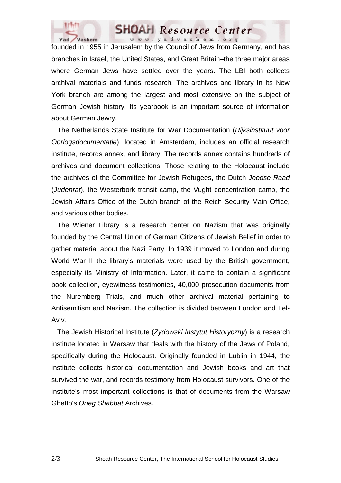

## **SHOAH** Resource Center www.yadvashem.org

founded in 1955 in Jerusalem by the Council of Jews from Germany, and has branches in Israel, the United States, and Great Britain–the three major areas where German Jews have settled over the years. The LBI both collects archival materials and funds research. The archives and library in its New York branch are among the largest and most extensive on the subject of German Jewish history. Its yearbook is an important source of information about German Jewry.

 The Netherlands State Institute for War Documentation (*Rijksinstituut voor Oorlogsdocumentatie*), located in Amsterdam, includes an official research institute, records annex, and library. The records annex contains hundreds of archives and document collections. Those relating to the Holocaust include the archives of the Committee for Jewish Refugees, the Dutch *Joodse Raad* (*Judenrat*), the Westerbork transit camp, the Vught concentration camp, the Jewish Affairs Office of the Dutch branch of the Reich Security Main Office, and various other bodies.

 The Wiener Library is a research center on Nazism that was originally founded by the Central Union of German Citizens of Jewish Belief in order to gather material about the Nazi Party. In 1939 it moved to London and during World War II the library's materials were used by the British government, especially its Ministry of Information. Later, it came to contain a significant book collection, eyewitness testimonies, 40,000 prosecution documents from the Nuremberg Trials, and much other archival material pertaining to Antisemitism and Nazism. The collection is divided between London and Tel-Aviv.

 The Jewish Historical Institute (*Zydowski Instytut Historyczny*) is a research institute located in Warsaw that deals with the history of the Jews of Poland, specifically during the Holocaust. Originally founded in Lublin in 1944, the institute collects historical documentation and Jewish books and art that survived the war, and records testimony from Holocaust survivors. One of the institute's most important collections is that of documents from the Warsaw Ghetto's *Oneg Shabbat* Archives.

 $\Box$  . The contribution of the contribution of the contribution of the contribution of the contribution of the contribution of the contribution of the contribution of the contribution of the contribution of the contributi